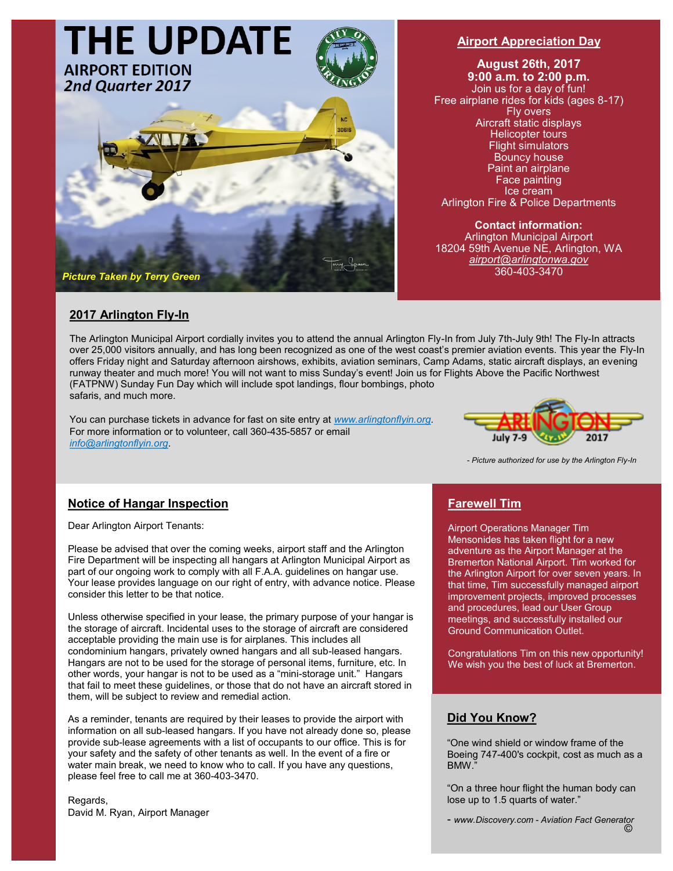

#### **Airport Appreciation Day**

**August 26th, 2017 9:00 a.m. to 2:00 p.m.**  Join us for a day of fun! Free airplane rides for kids (ages 8-17) Fly overs Aircraft static displays Helicopter tours Flight simulators Bouncy house Paint an airplane Face painting Ice cream Arlington Fire & Police Departments

**Contact information:**  Arlington Municipal Airport 18204 59th Avenue NE, Arlington, WA *airport@arlingtonwa.gov* 360-403-3470

# **2017 Arlington Fly-In**

The Arlington Municipal Airport cordially invites you to attend the annual Arlington Fly-In from July 7th-July 9th! The Fly-In attracts over 25,000 visitors annually, and has long been recognized as one of the west coast's premier aviation events. This year the Fly-In offers Friday night and Saturday afternoon airshows, exhibits, aviation seminars, Camp Adams, static aircraft displays, an evening runway theater and much more! You will not want to miss Sunday's event! Join us for Flights Above the Pacific Northwest (FATPNW) Sunday Fun Day which will include spot landings, flour bombings, photo safaris, and much more.

You can purchase tickets in advance for fast on site entry at *www.arlingtonflyin.org.* For more information or to volunteer, call 360-435-5857 or email *info@arlingtonflyin.org*.



- *Picture authorized for use by the Arlington Fly-In* 

# **Notice of Hangar Inspection**

Dear Arlington Airport Tenants:

Please be advised that over the coming weeks, airport staff and the Arlington Fire Department will be inspecting all hangars at Arlington Municipal Airport as part of our ongoing work to comply with all F.A.A. guidelines on hangar use. Your lease provides language on our right of entry, with advance notice. Please consider this letter to be that notice.

Unless otherwise specified in your lease, the primary purpose of your hangar is the storage of aircraft. Incidental uses to the storage of aircraft are considered acceptable providing the main use is for airplanes. This includes all condominium hangars, privately owned hangars and all sub-leased hangars. Hangars are not to be used for the storage of personal items, furniture, etc. In other words, your hangar is not to be used as a "mini-storage unit." Hangars that fail to meet these guidelines, or those that do not have an aircraft stored in them, will be subject to review and remedial action.

As a reminder, tenants are required by their leases to provide the airport with information on all sub-leased hangars. If you have not already done so, please provide sub-lease agreements with a list of occupants to our office. This is for your safety and the safety of other tenants as well. In the event of a fire or water main break, we need to know who to call. If you have any questions, please feel free to call me at 360-403-3470.

Regards, David M. Ryan, Airport Manager

#### **Farewell Tim**

Airport Operations Manager Tim Mensonides has taken flight for a new adventure as the Airport Manager at the Bremerton National Airport. Tim worked for the Arlington Airport for over seven years. In that time, Tim successfully managed airport improvement projects, improved processes and procedures, lead our User Group meetings, and successfully installed our Ground Communication Outlet.

Congratulations Tim on this new opportunity! We wish you the best of luck at Bremerton.

#### **Did You Know?**

"One wind shield or window frame of the Boeing 747-400's cockpit, cost as much as a BMW."

"On a three hour flight the human body can lose up to 1.5 quarts of water."

- *www.Discovery.com - Aviation Fact Generator*  ©